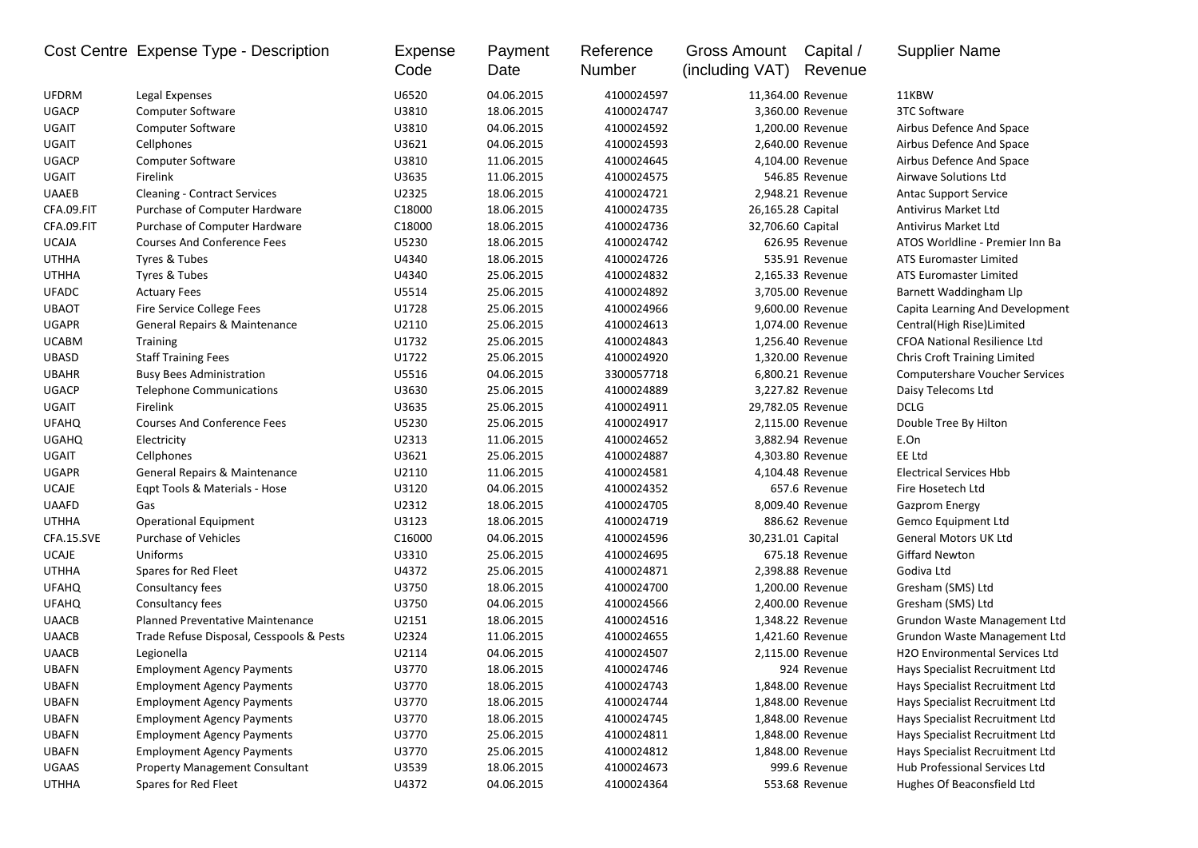|              | Cost Centre Expense Type - Description   | Expense<br>Code | Payment<br>Date | Reference<br>Number | Gross Amount<br>(including VAT) | Capital /<br>Revenue | <b>Supplier Name</b>                  |
|--------------|------------------------------------------|-----------------|-----------------|---------------------|---------------------------------|----------------------|---------------------------------------|
| <b>UFDRM</b> | Legal Expenses                           | U6520           | 04.06.2015      | 4100024597          |                                 | 11,364.00 Revenue    | 11KBW                                 |
| <b>UGACP</b> | <b>Computer Software</b>                 | U3810           | 18.06.2015      | 4100024747          |                                 | 3,360.00 Revenue     | 3TC Software                          |
| <b>UGAIT</b> | <b>Computer Software</b>                 | U3810           | 04.06.2015      | 4100024592          |                                 | 1,200.00 Revenue     | Airbus Defence And Space              |
| <b>UGAIT</b> | Cellphones                               | U3621           | 04.06.2015      | 4100024593          |                                 | 2,640.00 Revenue     | Airbus Defence And Space              |
| <b>UGACP</b> | <b>Computer Software</b>                 | U3810           | 11.06.2015      | 4100024645          |                                 | 4,104.00 Revenue     | Airbus Defence And Space              |
| <b>UGAIT</b> | Firelink                                 | U3635           | 11.06.2015      | 4100024575          |                                 | 546.85 Revenue       | Airwave Solutions Ltd                 |
| <b>UAAEB</b> | <b>Cleaning - Contract Services</b>      | U2325           | 18.06.2015      | 4100024721          |                                 | 2,948.21 Revenue     | <b>Antac Support Service</b>          |
| CFA.09.FIT   | Purchase of Computer Hardware            | C18000          | 18.06.2015      | 4100024735          | 26,165.28 Capital               |                      | <b>Antivirus Market Ltd</b>           |
| CFA.09.FIT   | Purchase of Computer Hardware            | C18000          | 18.06.2015      | 4100024736          | 32,706.60 Capital               |                      | Antivirus Market Ltd                  |
| <b>UCAJA</b> | <b>Courses And Conference Fees</b>       | U5230           | 18.06.2015      | 4100024742          |                                 | 626.95 Revenue       | ATOS Worldline - Premier Inn Ba       |
| <b>UTHHA</b> | Tyres & Tubes                            | U4340           | 18.06.2015      | 4100024726          |                                 | 535.91 Revenue       | ATS Euromaster Limited                |
| <b>UTHHA</b> | Tyres & Tubes                            | U4340           | 25.06.2015      | 4100024832          |                                 | 2,165.33 Revenue     | ATS Euromaster Limited                |
| <b>UFADC</b> | <b>Actuary Fees</b>                      | U5514           | 25.06.2015      | 4100024892          |                                 | 3,705.00 Revenue     | Barnett Waddingham Llp                |
| <b>UBAOT</b> | Fire Service College Fees                | U1728           | 25.06.2015      | 4100024966          |                                 | 9,600.00 Revenue     | Capita Learning And Development       |
| <b>UGAPR</b> | <b>General Repairs &amp; Maintenance</b> | U2110           | 25.06.2015      | 4100024613          |                                 | 1,074.00 Revenue     | Central(High Rise)Limited             |
| <b>UCABM</b> | <b>Training</b>                          | U1732           | 25.06.2015      | 4100024843          |                                 | 1,256.40 Revenue     | <b>CFOA National Resilience Ltd</b>   |
| <b>UBASD</b> | <b>Staff Training Fees</b>               | U1722           | 25.06.2015      | 4100024920          |                                 | 1,320.00 Revenue     | <b>Chris Croft Training Limited</b>   |
| <b>UBAHR</b> | <b>Busy Bees Administration</b>          | U5516           | 04.06.2015      | 3300057718          |                                 | 6,800.21 Revenue     | <b>Computershare Voucher Services</b> |
| <b>UGACP</b> | <b>Telephone Communications</b>          | U3630           | 25.06.2015      | 4100024889          |                                 | 3,227.82 Revenue     | Daisy Telecoms Ltd                    |
| <b>UGAIT</b> | Firelink                                 | U3635           | 25.06.2015      | 4100024911          |                                 | 29,782.05 Revenue    | <b>DCLG</b>                           |
| <b>UFAHQ</b> | <b>Courses And Conference Fees</b>       | U5230           | 25.06.2015      | 4100024917          |                                 | 2,115.00 Revenue     | Double Tree By Hilton                 |
| <b>UGAHQ</b> | Electricity                              | U2313           | 11.06.2015      | 4100024652          |                                 | 3,882.94 Revenue     | E.On                                  |
| <b>UGAIT</b> | Cellphones                               | U3621           | 25.06.2015      | 4100024887          |                                 | 4,303.80 Revenue     | EE Ltd                                |
| <b>UGAPR</b> | General Repairs & Maintenance            | U2110           | 11.06.2015      | 4100024581          |                                 | 4,104.48 Revenue     | <b>Electrical Services Hbb</b>        |
| <b>UCAJE</b> | Eqpt Tools & Materials - Hose            | U3120           | 04.06.2015      | 4100024352          |                                 | 657.6 Revenue        | Fire Hosetech Ltd                     |
| <b>UAAFD</b> | Gas                                      | U2312           | 18.06.2015      | 4100024705          |                                 | 8,009.40 Revenue     | <b>Gazprom Energy</b>                 |
| <b>UTHHA</b> | <b>Operational Equipment</b>             | U3123           | 18.06.2015      | 4100024719          |                                 | 886.62 Revenue       | Gemco Equipment Ltd                   |
| CFA.15.SVE   | <b>Purchase of Vehicles</b>              | C16000          | 04.06.2015      | 4100024596          | 30,231.01 Capital               |                      | <b>General Motors UK Ltd</b>          |
| <b>UCAJE</b> | Uniforms                                 | U3310           | 25.06.2015      | 4100024695          |                                 | 675.18 Revenue       | <b>Giffard Newton</b>                 |
| <b>UTHHA</b> | Spares for Red Fleet                     | U4372           | 25.06.2015      | 4100024871          |                                 | 2,398.88 Revenue     | Godiva Ltd                            |
| <b>UFAHQ</b> | Consultancy fees                         | U3750           | 18.06.2015      | 4100024700          |                                 | 1,200.00 Revenue     | Gresham (SMS) Ltd                     |
| <b>UFAHQ</b> | Consultancy fees                         | U3750           | 04.06.2015      | 4100024566          |                                 | 2,400.00 Revenue     | Gresham (SMS) Ltd                     |
| <b>UAACB</b> | <b>Planned Preventative Maintenance</b>  | U2151           | 18.06.2015      | 4100024516          |                                 | 1,348.22 Revenue     | Grundon Waste Management Ltd          |
| <b>UAACB</b> | Trade Refuse Disposal, Cesspools & Pests | U2324           | 11.06.2015      | 4100024655          |                                 | 1,421.60 Revenue     | Grundon Waste Management Ltd          |
| <b>UAACB</b> | Legionella                               | U2114           | 04.06.2015      | 4100024507          |                                 | 2,115.00 Revenue     | H2O Environmental Services Ltd        |
| <b>UBAFN</b> | <b>Employment Agency Payments</b>        | U3770           | 18.06.2015      | 4100024746          |                                 | 924 Revenue          | Hays Specialist Recruitment Ltd       |
| <b>UBAFN</b> | <b>Employment Agency Payments</b>        | U3770           | 18.06.2015      | 4100024743          |                                 | 1,848.00 Revenue     | Hays Specialist Recruitment Ltd       |
| <b>UBAFN</b> | <b>Employment Agency Payments</b>        | U3770           | 18.06.2015      | 4100024744          |                                 | 1,848.00 Revenue     | Hays Specialist Recruitment Ltd       |
| <b>UBAFN</b> | <b>Employment Agency Payments</b>        | U3770           | 18.06.2015      | 4100024745          |                                 | 1,848.00 Revenue     | Hays Specialist Recruitment Ltd       |
| <b>UBAFN</b> | <b>Employment Agency Payments</b>        | U3770           | 25.06.2015      | 4100024811          |                                 | 1,848.00 Revenue     | Hays Specialist Recruitment Ltd       |
| <b>UBAFN</b> | <b>Employment Agency Payments</b>        | U3770           | 25.06.2015      | 4100024812          |                                 | 1,848.00 Revenue     | Hays Specialist Recruitment Ltd       |
| UGAAS        | <b>Property Management Consultant</b>    | U3539           | 18.06.2015      | 4100024673          |                                 | 999.6 Revenue        | Hub Professional Services Ltd         |
| <b>UTHHA</b> | Spares for Red Fleet                     | U4372           | 04.06.2015      | 4100024364          |                                 | 553.68 Revenue       | Hughes Of Beaconsfield Ltd            |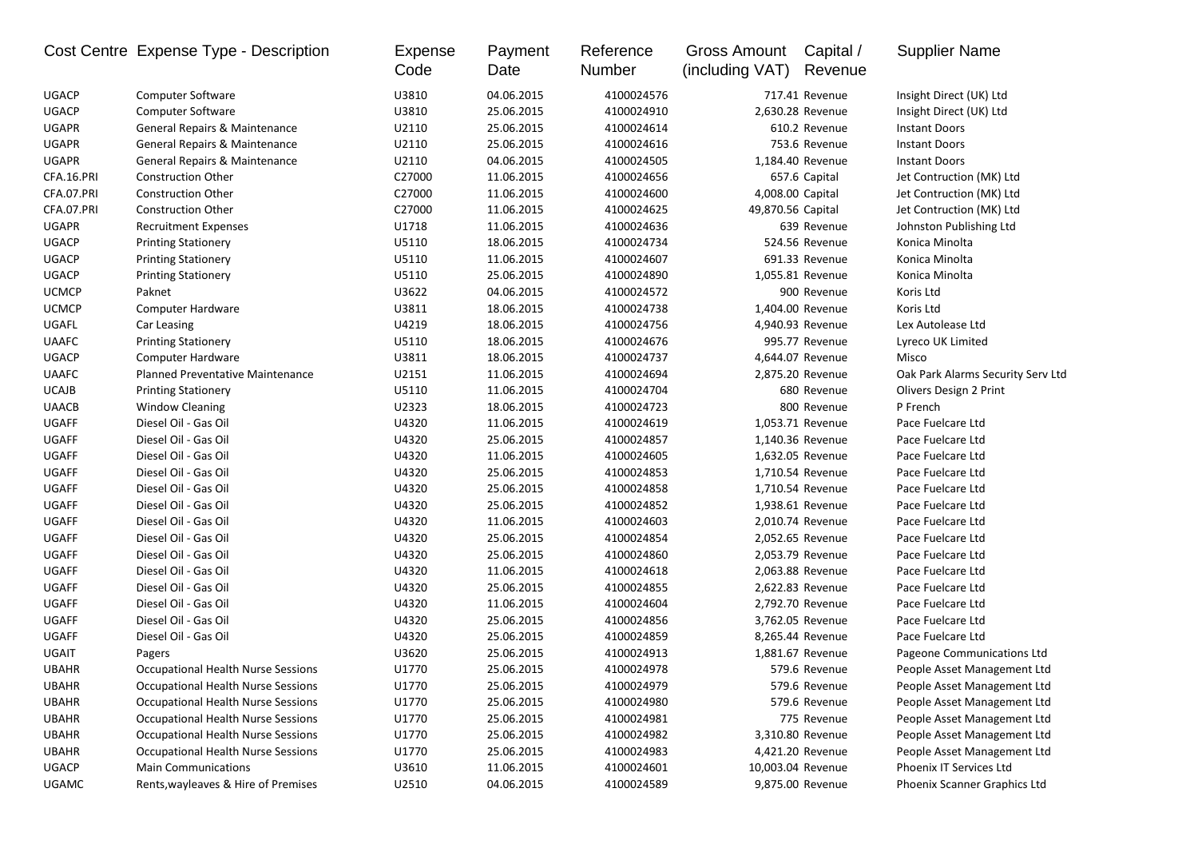|              | Cost Centre Expense Type - Description    | Expense<br>Code | Payment<br>Date | Reference<br>Number | Gross Amount<br>(including VAT) | Capital /<br>Revenue | <b>Supplier Name</b>              |
|--------------|-------------------------------------------|-----------------|-----------------|---------------------|---------------------------------|----------------------|-----------------------------------|
| <b>UGACP</b> | <b>Computer Software</b>                  | U3810           | 04.06.2015      | 4100024576          |                                 | 717.41 Revenue       | Insight Direct (UK) Ltd           |
| <b>UGACP</b> | <b>Computer Software</b>                  | U3810           | 25.06.2015      | 4100024910          |                                 | 2,630.28 Revenue     | Insight Direct (UK) Ltd           |
| <b>UGAPR</b> | General Repairs & Maintenance             | U2110           | 25.06.2015      | 4100024614          |                                 | 610.2 Revenue        | <b>Instant Doors</b>              |
| <b>UGAPR</b> | General Repairs & Maintenance             | U2110           | 25.06.2015      | 4100024616          |                                 | 753.6 Revenue        | <b>Instant Doors</b>              |
| <b>UGAPR</b> | General Repairs & Maintenance             | U2110           | 04.06.2015      | 4100024505          |                                 | 1,184.40 Revenue     | <b>Instant Doors</b>              |
| CFA.16.PRI   | <b>Construction Other</b>                 | C27000          | 11.06.2015      | 4100024656          |                                 | 657.6 Capital        | Jet Contruction (MK) Ltd          |
| CFA.07.PRI   | <b>Construction Other</b>                 | C27000          | 11.06.2015      | 4100024600          | 4,008.00 Capital                |                      | Jet Contruction (MK) Ltd          |
| CFA.07.PRI   | <b>Construction Other</b>                 | C27000          | 11.06.2015      | 4100024625          | 49,870.56 Capital               |                      | Jet Contruction (MK) Ltd          |
| <b>UGAPR</b> | <b>Recruitment Expenses</b>               | U1718           | 11.06.2015      | 4100024636          |                                 | 639 Revenue          | Johnston Publishing Ltd           |
| <b>UGACP</b> | <b>Printing Stationery</b>                | U5110           | 18.06.2015      | 4100024734          |                                 | 524.56 Revenue       | Konica Minolta                    |
| <b>UGACP</b> | <b>Printing Stationery</b>                | U5110           | 11.06.2015      | 4100024607          |                                 | 691.33 Revenue       | Konica Minolta                    |
| <b>UGACP</b> | <b>Printing Stationery</b>                | U5110           | 25.06.2015      | 4100024890          |                                 | 1,055.81 Revenue     | Konica Minolta                    |
| <b>UCMCP</b> | Paknet                                    | U3622           | 04.06.2015      | 4100024572          |                                 | 900 Revenue          | Koris Ltd                         |
| <b>UCMCP</b> | <b>Computer Hardware</b>                  | U3811           | 18.06.2015      | 4100024738          |                                 | 1,404.00 Revenue     | Koris Ltd                         |
| UGAFL        | Car Leasing                               | U4219           | 18.06.2015      | 4100024756          |                                 | 4,940.93 Revenue     | Lex Autolease Ltd                 |
| <b>UAAFC</b> | <b>Printing Stationery</b>                | U5110           | 18.06.2015      | 4100024676          |                                 | 995.77 Revenue       | Lyreco UK Limited                 |
| <b>UGACP</b> | Computer Hardware                         | U3811           | 18.06.2015      | 4100024737          |                                 | 4,644.07 Revenue     | Misco                             |
| <b>UAAFC</b> | Planned Preventative Maintenance          | U2151           | 11.06.2015      | 4100024694          |                                 | 2,875.20 Revenue     | Oak Park Alarms Security Serv Ltd |
| <b>UCAJB</b> | <b>Printing Stationery</b>                | U5110           | 11.06.2015      | 4100024704          |                                 | 680 Revenue          | Olivers Design 2 Print            |
| <b>UAACB</b> | <b>Window Cleaning</b>                    | U2323           | 18.06.2015      | 4100024723          |                                 | 800 Revenue          | P French                          |
| <b>UGAFF</b> | Diesel Oil - Gas Oil                      | U4320           | 11.06.2015      | 4100024619          |                                 | 1,053.71 Revenue     | Pace Fuelcare Ltd                 |
| UGAFF        | Diesel Oil - Gas Oil                      | U4320           | 25.06.2015      | 4100024857          |                                 | 1,140.36 Revenue     | Pace Fuelcare Ltd                 |
| <b>UGAFF</b> | Diesel Oil - Gas Oil                      | U4320           | 11.06.2015      | 4100024605          |                                 | 1,632.05 Revenue     | Pace Fuelcare Ltd                 |
| <b>UGAFF</b> | Diesel Oil - Gas Oil                      | U4320           | 25.06.2015      | 4100024853          |                                 | 1,710.54 Revenue     | Pace Fuelcare Ltd                 |
| <b>UGAFF</b> | Diesel Oil - Gas Oil                      | U4320           | 25.06.2015      | 4100024858          |                                 | 1,710.54 Revenue     | Pace Fuelcare Ltd                 |
| <b>UGAFF</b> | Diesel Oil - Gas Oil                      | U4320           | 25.06.2015      | 4100024852          |                                 | 1,938.61 Revenue     | Pace Fuelcare Ltd                 |
| <b>UGAFF</b> | Diesel Oil - Gas Oil                      | U4320           | 11.06.2015      | 4100024603          |                                 | 2,010.74 Revenue     | Pace Fuelcare Ltd                 |
| <b>UGAFF</b> | Diesel Oil - Gas Oil                      | U4320           | 25.06.2015      | 4100024854          |                                 | 2,052.65 Revenue     | Pace Fuelcare Ltd                 |
| <b>UGAFF</b> | Diesel Oil - Gas Oil                      | U4320           | 25.06.2015      | 4100024860          |                                 | 2,053.79 Revenue     | Pace Fuelcare Ltd                 |
| <b>UGAFF</b> | Diesel Oil - Gas Oil                      | U4320           | 11.06.2015      | 4100024618          |                                 | 2,063.88 Revenue     | Pace Fuelcare Ltd                 |
| <b>UGAFF</b> | Diesel Oil - Gas Oil                      | U4320           | 25.06.2015      | 4100024855          |                                 | 2,622.83 Revenue     | Pace Fuelcare Ltd                 |
| UGAFF        | Diesel Oil - Gas Oil                      | U4320           | 11.06.2015      | 4100024604          |                                 | 2,792.70 Revenue     | Pace Fuelcare Ltd                 |
| UGAFF        | Diesel Oil - Gas Oil                      | U4320           | 25.06.2015      | 4100024856          |                                 | 3,762.05 Revenue     | Pace Fuelcare Ltd                 |
| UGAFF        | Diesel Oil - Gas Oil                      | U4320           | 25.06.2015      | 4100024859          |                                 | 8,265.44 Revenue     | Pace Fuelcare Ltd                 |
| UGAIT        | Pagers                                    | U3620           | 25.06.2015      | 4100024913          |                                 | 1,881.67 Revenue     | Pageone Communications Ltd        |
| <b>UBAHR</b> | Occupational Health Nurse Sessions        | U1770           | 25.06.2015      | 4100024978          |                                 | 579.6 Revenue        | People Asset Management Ltd       |
| <b>UBAHR</b> | Occupational Health Nurse Sessions        | U1770           | 25.06.2015      | 4100024979          |                                 | 579.6 Revenue        | People Asset Management Ltd       |
| <b>UBAHR</b> | <b>Occupational Health Nurse Sessions</b> | U1770           | 25.06.2015      | 4100024980          |                                 | 579.6 Revenue        | People Asset Management Ltd       |
| <b>UBAHR</b> | <b>Occupational Health Nurse Sessions</b> | U1770           | 25.06.2015      | 4100024981          |                                 | 775 Revenue          | People Asset Management Ltd       |
| <b>UBAHR</b> | <b>Occupational Health Nurse Sessions</b> | U1770           | 25.06.2015      | 4100024982          |                                 | 3,310.80 Revenue     | People Asset Management Ltd       |
| <b>UBAHR</b> | Occupational Health Nurse Sessions        | U1770           | 25.06.2015      | 4100024983          |                                 | 4,421.20 Revenue     | People Asset Management Ltd       |
| UGACP        | <b>Main Communications</b>                | U3610           | 11.06.2015      | 4100024601          | 10,003.04 Revenue               |                      | Phoenix IT Services Ltd           |
| <b>UGAMC</b> | Rents, wayleaves & Hire of Premises       | U2510           | 04.06.2015      | 4100024589          |                                 | 9,875.00 Revenue     | Phoenix Scanner Graphics Ltd      |